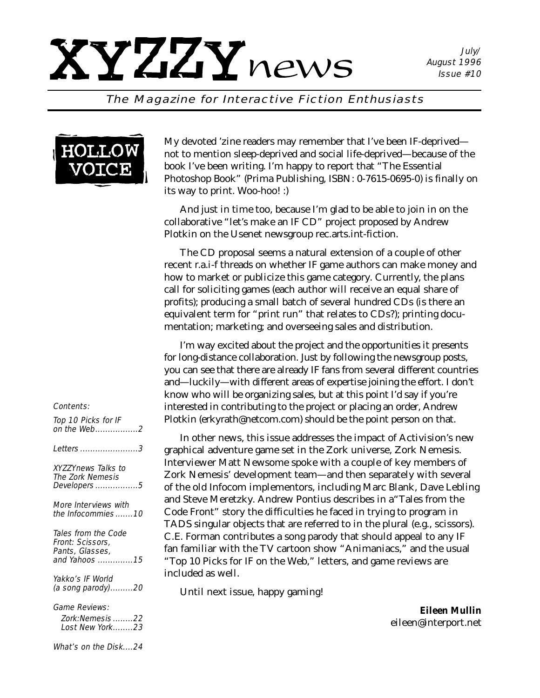#### The Magazine for Interactive Fiction Enthusiasts



My devoted 'zine readers may remember that I've been IF-deprived not to mention sleep-deprived and social life-deprived—because of the book I've been writing. I'm happy to report that "The Essential Photoshop Book" (Prima Publishing, ISBN: 0-7615-0695-0) is finally on its way to print. Woo-hoo! :)

And just in time too, because I'm glad to be able to join in on the collaborative "let's make an IF CD" project proposed by Andrew Plotkin on the Usenet newsgroup rec.arts.int-fiction.

The CD proposal seems a natural extension of a couple of other recent r.a.i-f threads on whether IF game authors can make money and how to market or publicize this game category. Currently, the plans call for soliciting games (each author will receive an equal share of profits); producing a small batch of several hundred CDs (is there an equivalent term for "print run" that relates to CDs?); printing documentation; marketing; and overseeing sales and distribution.

I'm way excited about the project and the opportunities it presents for long-distance collaboration. Just by following the newsgroup posts, you can see that there are already IF fans from several different countries and—luckily—with different areas of expertise joining the effort. I don't know who will be organizing sales, but at this point I'd say if you're interested in contributing to the project or placing an order, Andrew Plotkin (erkyrath@netcom.com) should be the point person on that.

In other news, this issue addresses the impact of Activision's new graphical adventure game set in the Zork universe, Zork Nemesis. Interviewer Matt Newsome spoke with a couple of key members of Zork Nemesis' development team—and then separately with several of the old Infocom implementors, including Marc Blank, Dave Lebling and Steve Meretzky. Andrew Pontius describes in a"Tales from the Code Front" story the difficulties he faced in trying to program in TADS singular objects that are referred to in the plural (e.g., scissors). C.E. Forman contributes a song parody that should appeal to any IF fan familiar with the TV cartoon show "Animaniacs," and the usual "Top 10 Picks for IF on the Web," letters, and game reviews are included as well.

Until next issue, happy gaming!

*Eileen Mullin eileen@interport.net*

#### Contents:

| Top 10 Picks for IF<br>on the Web2                                          |
|-----------------------------------------------------------------------------|
| Letters 3                                                                   |
| XY77Ynews Talks to<br>The Zork Nemesis<br>Developers5                       |
| More Interviews with<br>the Infocommies 10                                  |
| Tales from the Code<br>Front: Scissors,<br>Pants, Glasses,<br>and Yahoos 15 |
| Yakko's IF World<br>$(a$ song parody)20                                     |
| <i>Game Reviews:</i><br>Zork:Nemesis 22<br>Lost New York23                  |
| What's on the Disk….24                                                      |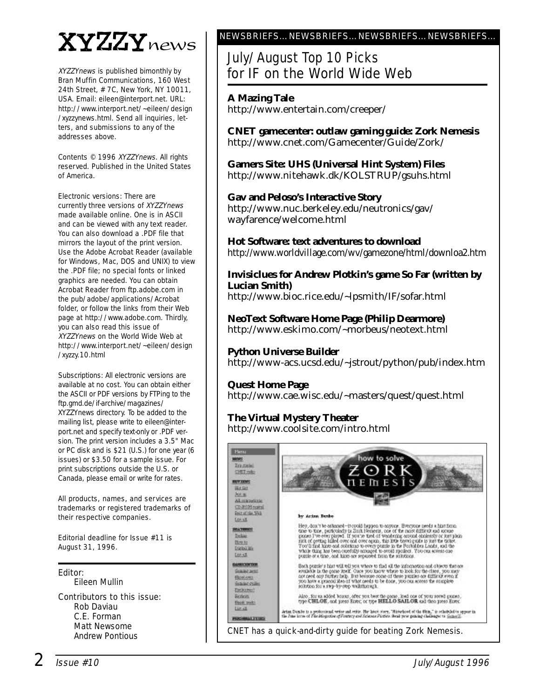# XYZZYnews

XYZZYnews is published bimonthly by Bran Muffin Communications, 160 West 24th Street, # 7C, New York, NY 10011, USA. Email: eileen@interport.net. URL: http://www.interport.net/~eileen/design /xyzzynews.html. Send all inquiries, letters, and submissions to any of the addresses above.

Contents © 1996 XYZZYnews. All rights reserved. Published in the United States of America.

Electronic versions: There are currently three versions of XYZZYnews made available online. One is in ASCII and can be viewed with any text reader. You can also download a .PDF file that mirrors the layout of the print version. Use the Adobe Acrobat Reader (available for Windows, Mac, DOS and UNIX) to view the .PDF file; no special fonts or linked graphics are needed. You can obtain Acrobat Reader from ftp.adobe.com in the pub/adobe/applications/Acrobat folder, or follow the links from their Web page at http://www.adobe.com. Thirdly, you can also read this issue of XYZZYnews on the World Wide Web at http://www.interport.net/~eileen/design /xyzzy.10.html

Subscriptions: All electronic versions are available at no cost. You can obtain either the ASCII or PDF versions by FTPing to the ftp.gmd.de/if-archive/magazines/ XYZZYnews directory. To be added to the mailing list, please write to eileen@interport.net and specify text-only or .PDF version. The print version includes a 3.5" Mac or PC disk and is \$21 (U.S.) for one year (6 issues) or \$3.50 for a sample issue. For print subscriptions outside the U.S. or Canada, please email or write for rates.

All products, names, and ser vices are trademarks or registered trademarks of their respective companies.

Editorial deadline for Issue #11 is August 31, 1996.

Editor: Eileen Mullin

Contributors to this issue: Rob Daviau C.E. Forman Matt Newsome Andrew Pontious

#### NEWSBRIEFS…NEWSBRIEFS…NEWSBRIEFS…NEWSBRIEFS…

#### July/August Top 10 Picks for IF on the World Wide Web

#### **A Mazing Tale**

http://www.entertain.com/creeper/

**CNET gamecenter: outlaw gaming guide: Zork Nemesis** http://www.cnet.com/Gamecenter/Guide/Zork/

**Gamers Site: UHS (Universal Hint System) Files** http://www.nitehawk.dk/KOLSTRUP/gsuhs.html

#### **Gav and Peloso's Interactive Story** http://www.nuc.berkeley.edu/neutronics/gav/ wayfarence/welcome.html

**Hot Software: text adventures to download** http://www.worldvillage.com/wv/gamezone/html/downloa2.htm

#### **Invisiclues for Andrew Plotkin's game So Far (written by Lucian Smith)**

http://www.bioc.rice.edu/~lpsmith/IF/sofar.html

**NeoText Software Home Page (Philip Dearmore)** http://www.eskimo.com/~morbeus/neotext.html

#### **Python Universe Builder**

http://www-acs.ucsd.edu/~jstrout/python/pub/index.htm

#### **Quest Home Page**

http://www.cae.wisc.edu/~masters/quest/quest.html

#### **The Virtual Mystery Theater**

http://www.coolsite.com/intro.html

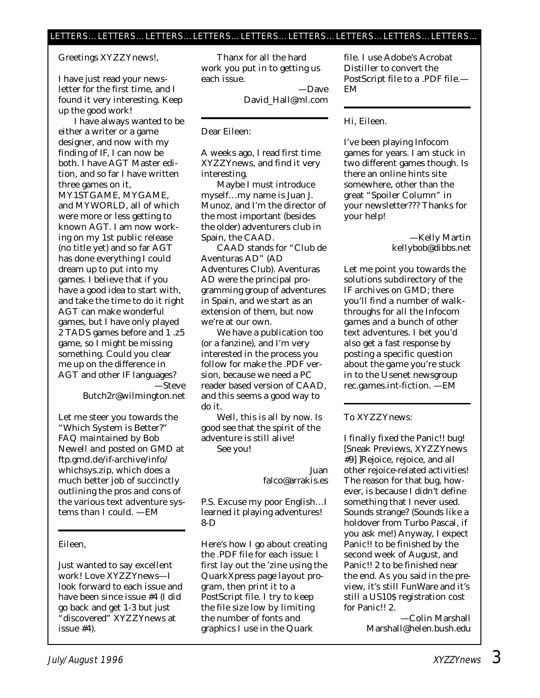Greetings XYZZYnews!,

I have just read your newsletter for the first time, and I found it very interesting. Keep up the good work!

I have always wanted to be either a writer or a game designer, and now with my finding of IF, I can now be both. I have AGT Master edition, and so far I have written three games on it, MY1STGAME, MYGAME, and MYWORLD, all of which were more or less getting to known AGT. I am now working on my 1st public release (no title yet) and so far AGT has done everything I could dream up to put into my games. I believe that if you have a good idea to start with, and take the time to do it right AGT can make wonderful games, but I have only played 2 TADS games before and 1 .z5 game, so I might be missing something. Could you clear me up on the difference in AGT and other IF languages? —Steve

Butch2r@wilmington.net

*Let me steer you towards the "Which System is Better?" FAQ maintained by Bob Newell and posted on GMD at ftp.gmd.de/if-archive/info/ whichsys.zip, which does a much better job of succinctly outlining the pros and cons of the various text adventure systems than I could. —EM*

Eileen,

Just wanted to say excellent work! Love *XYZZYnews*—I look forward to each issue and have been since issue #4 (I did go back and get 1-3 but just "discovered" *XYZZYnews* at issue #4).

Thanx for all the hard work you put in to getting us each issue.

> —Dave David\_Hall@ml.com

Dear Eileen:

A weeks ago, I read first time *XYZZYnews,* and find it very interesting.

Maybe I must introduce myself…my name is Juan J. Munoz, and I'm the director of the most important (besides the older) adventurers club in Spain, the CAAD.

CAAD stands for "Club de Aventuras AD" (AD Adventures Club). Aventuras AD were the principal programming group of adventures in Spain, and we start as an extension of them, but now we're at our own.

We have a publication too (or a fanzine), and I'm very interested in the process you follow for make the .PDF version, because we need a PC reader based version of CAAD, and this seems a good way to do it.

Well, this is all by now. Is good see that the spirit of the adventure is still alive! See you!

> Juan falco@arrakis.es

P.S. Excuse my poor English…I learned it playing adventures! 8-D

*Here's how I go about creating the .PDF file for each issue: I first lay out the 'zine using the QuarkXpress page layout program, then print it to a PostScript file. I try to keep the file size low by limiting the number of fonts and graphics I use in the Quark*

*file. I use Adobe's Acrobat Distiller to convert the PostScript file to a .PDF file.— EM*

#### Hi, Eileen.

I've been playing Infocom games for years. I am stuck in two different games though. Is there an online hints site somewhere, other than the great "Spoiler Column" in your newsletter??? Thanks for your help!

> —Kelly Martin kellybob@dibbs.net

*Let me point you towards the solutions subdirectory of the IF archives on GMD; there you'll find a number of walkthroughs for all the Infocom games and a bunch of other text adventures. I bet you'd also get a fast response by posting a specific question about the game you're stuck in to the Usenet newsgroup rec.games.int-fiction. —EM*

#### To XYZZYnews:

I finally fixed the Panic!! bug! [Sneak Previews, *XYZZYnews #9*] ]Rejoice, rejoice, and all other rejoice-related activities! The reason for that bug, however, is because I didn't define something that I never used. Sounds strange? (Sounds like a holdover from Turbo Pascal, if you ask me!) Anyway, I expect Panic!! to be finished by the second week of August, and Panic!! 2 to be finished near the end. As you said in the preview, it's still FunWare and it's still a US10\$ registration cost for Panic!! 2.

> —Colin Marshall Marshall@helen.bush.edu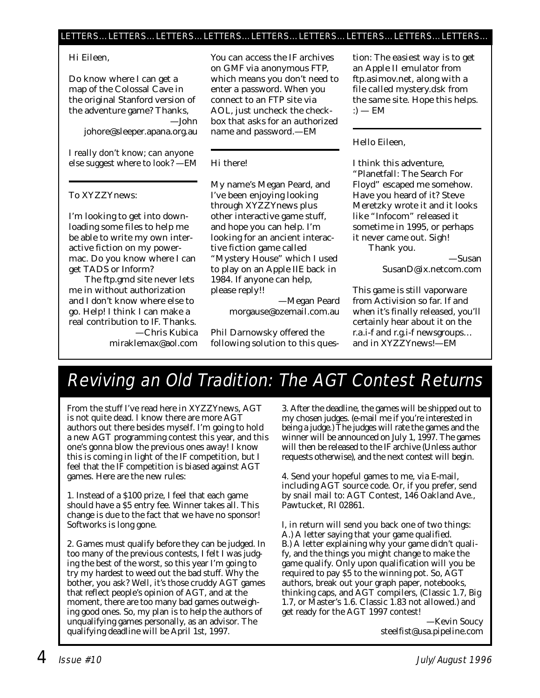#### LETTERS…LETTERS…LETTERS…LETTERS…LETTERS…LETTERS…LETTERS…LETTERS…LETTERS…

#### Hi Eileen,

Do know where I can get a map of the Colossal Cave in the original Stanford version of the adventure game? Thanks, —John

johore@sleeper.apana.org.au

*I really don't know; can anyone else suggest where to look? —EM*

To XYZZYnews:

I'm looking to get into downloading some files to help me be able to write my own interactive fiction on my powermac. Do you know where I can get TADS or Inform?

The ftp.gmd site never lets me in without authorization and I don't know where else to go. Help! I think I can make a real contribution to IF. Thanks. —Chris Kubica

miraklemax@aol.com

*You can access the IF archives on GMF via anonymous FTP, which means you don't need to enter a password. When you connect to an FTP site via AOL, just uncheck the checkbox that asks for an authorized name and password.—EM*

#### Hi there!

My name's Megan Peard, and I've been enjoying looking through *XYZZYnews* plus other interactive game stuff, and hope you can help. I'm looking for an ancient interactive fiction game called "Mystery House" which I used to play on an Apple IIE back in 1984. If anyone can help, please reply!!

> —Megan Peard morgause@ozemail.com.au

*Phil Darnowsky offered the following solution to this ques-*

*tion: The easiest way is to get an Apple II emulator from ftp.asimov.net, along with a file called mystery.dsk from the same site. Hope this helps. :) — EM*

#### Hello Eileen,

I think this adventure, "Planetfall: The Search For Floyd" escaped me somehow. Have you heard of it? Steve Meretzky wrote it and it looks like "Infocom" released it sometime in 1995, or perhaps it never came out. Sigh!

Thank you.

—Susan SusanD@ix.netcom.com

*This game is still vaporware from Activision so far. If and when it's finally released, you'll certainly hear about it on the r.a.i-f and r.g.i-f newsgroups… and in XYZZYnews!—EM*

## Reviving an Old Tradition: The AGT Contest Returns

From the stuff I've read here in *XYZZYnews*, AGT is not quite dead. I know there are more AGT authors out there besides myself. I'm going to hold a new AGT programming contest this year, and this one's gonna blow the previous ones away! I know this is coming in light of the IF competition, but I feel that the IF competition is biased against AGT games. Here are the new rules:

1. Instead of a \$100 prize, I feel that each game should have a \$5 entry fee. Winner takes all. This change is due to the fact that we have no sponsor! Softworks is long gone.

2. Games must qualify before they can be judged. In too many of the previous contests, I felt I was judging the best of the worst, so this year I'm going to try my hardest to weed out the bad stuff. Why the bother, you ask? Well, it's those cruddy AGT games that reflect people's opinion of AGT, and at the moment, there are too many bad games outweighing good ones. So, my plan is to help the authors of unqualifying games personally, as an advisor. The qualifying deadline will be April 1st, 1997.

3. After the deadline, the games will be shipped out to my chosen judges. (e-mail me if you're interested in being a judge.) The judges will rate the games and the winner will be announced on July 1, 1997. The games will then be released to the IF archive (Unless author requests otherwise), and the next contest will begin.

4. Send your hopeful games to me, via E-mail, including AGT source code. Or, if you prefer, send by snail mail to: AGT Contest, 146 Oakland Ave., Pawtucket, RI 02861.

I, in return will send you back one of two things: A.) A letter saying that your game qualified. B.) A letter explaining why your game didn't qualify, and the things you might change to make the game qualify. Only upon qualification will you be required to pay \$5 to the winning pot. So, AGT authors, break out your graph paper, notebooks, thinking caps, and AGT compilers, (Classic 1.7, Big 1.7, or Master's 1.6. Classic 1.83 not allowed.) and get ready for the AGT 1997 contest!

> —Kevin Soucy steelfist@usa.pipeline.com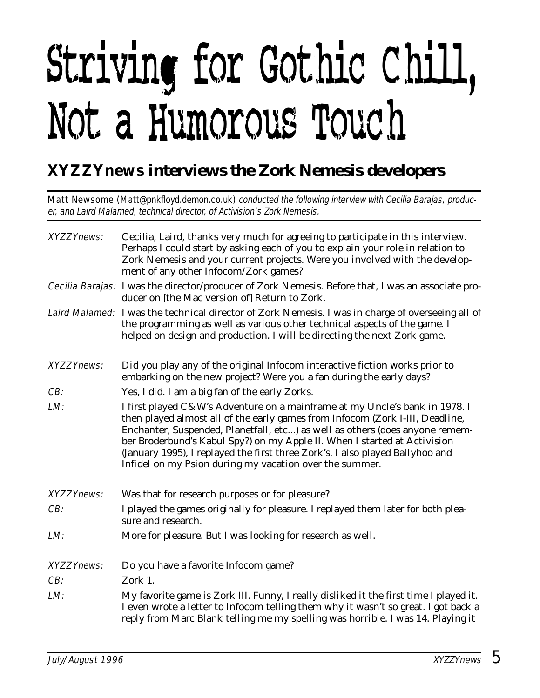# Striving for Gothic Chill, Not a Humorous Touch

### *XYZZYnews* **interviews the Zork Nemesis developers**

Matt Newsome (Matt@pnkfloyd.demon.co.uk) conducted the following interview with Cecilia Barajas, producer, and Laird Malamed, technical director, of Activision's Zork Nemesis.

| <b>XYZZYnews:</b> | Cecilia, Laird, thanks very much for agreeing to participate in this interview.<br>Perhaps I could start by asking each of you to explain your role in relation to<br>Zork Nemesis and your current projects. Were you involved with the develop-<br>ment of any other Infocom/Zork games?                                                                                                                                                                            |  |  |
|-------------------|-----------------------------------------------------------------------------------------------------------------------------------------------------------------------------------------------------------------------------------------------------------------------------------------------------------------------------------------------------------------------------------------------------------------------------------------------------------------------|--|--|
|                   | Cecilia Barajas: I was the director/producer of Zork Nemesis. Before that, I was an associate pro-<br>ducer on [the Mac version of] Return to Zork.                                                                                                                                                                                                                                                                                                                   |  |  |
|                   | Laird Malamed: I was the technical director of Zork Nemesis. I was in charge of overseeing all of<br>the programming as well as various other technical aspects of the game. I<br>helped on design and production. I will be directing the next Zork game.                                                                                                                                                                                                            |  |  |
| XYZZYnews:        | Did you play any of the original Infocom interactive fiction works prior to<br>embarking on the new project? Were you a fan during the early days?                                                                                                                                                                                                                                                                                                                    |  |  |
| CB:               | Yes, I did. I am a big fan of the early Zorks.                                                                                                                                                                                                                                                                                                                                                                                                                        |  |  |
| LM:               | I first played C&W's Adventure on a mainframe at my Uncle's bank in 1978. I<br>then played almost all of the early games from Infocom (Zork I-III, Deadline,<br>Enchanter, Suspended, Planetfall, etc) as well as others (does anyone remem-<br>ber Broderbund's Kabul Spy?) on my Apple II. When I started at Activision<br>(January 1995), I replayed the first three Zork's. I also played Ballyhoo and<br>Infidel on my Psion during my vacation over the summer. |  |  |
| <b>XYZZYnews:</b> | Was that for research purposes or for pleasure?                                                                                                                                                                                                                                                                                                                                                                                                                       |  |  |
| CB:               | I played the games originally for pleasure. I replayed them later for both plea-<br>sure and research.                                                                                                                                                                                                                                                                                                                                                                |  |  |
| LM:               | More for pleasure. But I was looking for research as well.                                                                                                                                                                                                                                                                                                                                                                                                            |  |  |
| <b>XYZZYnews:</b> | Do you have a favorite Infocom game?                                                                                                                                                                                                                                                                                                                                                                                                                                  |  |  |
| CB:               | Zork 1.                                                                                                                                                                                                                                                                                                                                                                                                                                                               |  |  |
| LM:               | My favorite game is Zork III. Funny, I really disliked it the first time I played it.<br>I even wrote a letter to Infocom telling them why it wasn't so great. I got back a<br>reply from Marc Blank telling me my spelling was horrible. I was 14. Playing it                                                                                                                                                                                                        |  |  |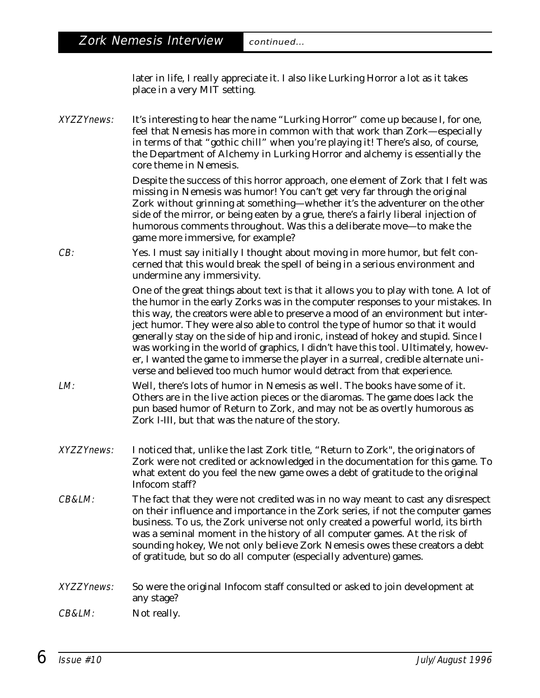later in life, I really appreciate it. I also like Lurking Horror a lot as it takes place in a very MIT setting.

XYZZYnews: It's interesting to hear the name "Lurking Horror" come up because I, for one, feel that Nemesis has more in common with that work than Zork—especially in terms of that "gothic chill" when you're playing it! There's also, of course, the Department of Alchemy in Lurking Horror and alchemy is essentially the core theme in Nemesis.

> Despite the success of this horror approach, one element of Zork that I felt was missing in Nemesis was humor! You can't get very far through the original Zork without grinning at something—whether it's the adventurer on the other side of the mirror, or being eaten by a grue, there's a fairly liberal injection of humorous comments throughout. Was this a deliberate move—to make the game more immersive, for example?

CB: Yes. I must say initially I thought about moving in more humor, but felt concerned that this would break the spell of being in a serious environment and undermine any immersivity.

> One of the great things about text is that it allows you to play with tone. A lot of the humor in the early Zorks was in the computer responses to your mistakes. In this way, the creators were able to preserve a mood of an environment but interject humor. They were also able to control the type of humor so that it would generally stay on the side of hip and ironic, instead of hokey and stupid. Since I was working in the world of graphics, I didn't have this tool. Ultimately, however, I wanted the game to immerse the player in a surreal, credible alternate universe and believed too much humor would detract from that experience.

- LM: Well, there's lots of humor in Nemesis as well. The books have some of it. Others are in the live action pieces or the diaromas. The game does lack the pun based humor of Return to Zork, and may not be as overtly humorous as Zork I-III, but that was the nature of the story.
- XYZZYnews: I noticed that, unlike the last Zork title, "Return to Zork", the originators of Zork were not credited or acknowledged in the documentation for this game. To what extent do you feel the new game owes a debt of gratitude to the original Infocom staff?
- CB&LM: The fact that they were not credited was in no way meant to cast any disrespect on their influence and importance in the Zork series, if not the computer games business. To us, the Zork universe not only created a powerful world, its birth was a seminal moment in the history of all computer games. At the risk of sounding hokey, We not only believe Zork Nemesis owes these creators a debt of gratitude, but so do all computer (especially adventure) games.
- XYZZYnews: So were the original Infocom staff consulted or asked to join development at any stage?

CB&LM: Not really.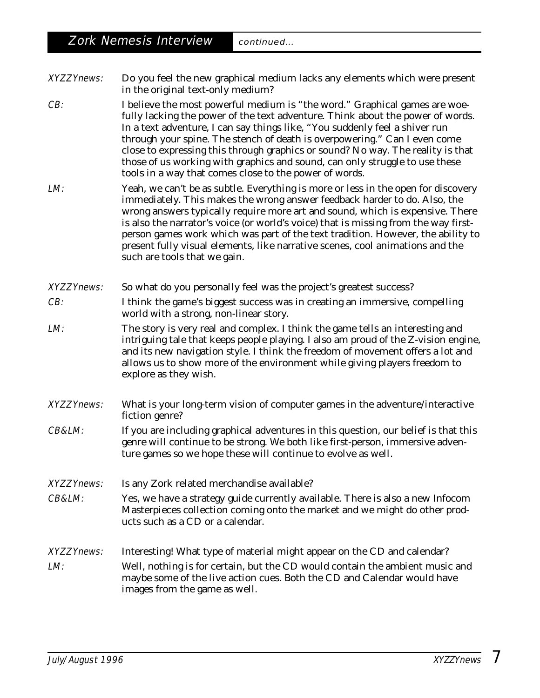XYZZYnews: Do you feel the new graphical medium lacks any elements which were present in the original text-only medium?

CB: I believe the most powerful medium is "the word." Graphical games are woefully lacking the power of the text adventure. Think about the power of words. In a text adventure, I can say things like, "You suddenly feel a shiver run through your spine. The stench of death is overpowering." Can I even come close to expressing this through graphics or sound? No way. The reality is that those of us working with graphics and sound, can only struggle to use these tools in a way that comes close to the power of words.

LM: Yeah, we can't be as subtle. Everything is more or less in the open for discovery immediately. This makes the wrong answer feedback harder to do. Also, the wrong answers typically require more art and sound, which is expensive. There is also the narrator's voice (or world's voice) that is missing from the way firstperson games work which was part of the text tradition. However, the ability to present fully visual elements, like narrative scenes, cool animations and the such are tools that we gain.

XYZZYnews: So what do you personally feel was the project's greatest success?

CB: I think the game's biggest success was in creating an immersive, compelling world with a strong, non-linear story.

LM: The story is very real and complex. I think the game tells an interesting and intriguing tale that keeps people playing. I also am proud of the Z-vision engine, and its new navigation style. I think the freedom of movement offers a lot and allows us to show more of the environment while giving players freedom to explore as they wish.

- XYZZYnews: What is your long-term vision of computer games in the adventure/interactive fiction genre?
- CB&LM: If you are including graphical adventures in this question, our belief is that this genre will continue to be strong. We both like first-person, immersive adventure games so we hope these will continue to evolve as well.

#### XYZZYnews: Is any Zork related merchandise available? CB&LM: Yes, we have a strategy guide currently available. There is also a new Infocom Masterpieces collection coming onto the market and we might do other products such as a CD or a calendar.

XYZZYnews: Interesting! What type of material might appear on the CD and calendar?

LM: Well, nothing is for certain, but the CD would contain the ambient music and maybe some of the live action cues. Both the CD and Calendar would have images from the game as well.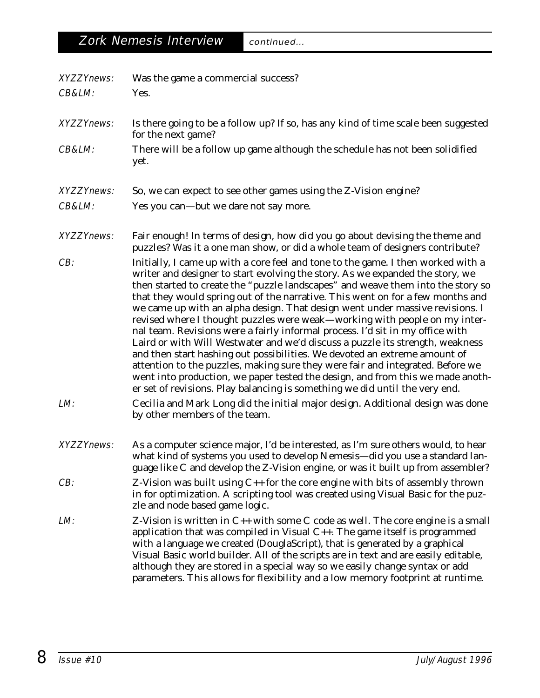| <b>XYZZYnews:</b> | Was the game a commercial success?                                                                                                                                                                                                                                                                                                                                                                                                                                                                                                                                                                                                                                                                                                                                                                                                                                                                                                                                                                     |  |  |
|-------------------|--------------------------------------------------------------------------------------------------------------------------------------------------------------------------------------------------------------------------------------------------------------------------------------------------------------------------------------------------------------------------------------------------------------------------------------------------------------------------------------------------------------------------------------------------------------------------------------------------------------------------------------------------------------------------------------------------------------------------------------------------------------------------------------------------------------------------------------------------------------------------------------------------------------------------------------------------------------------------------------------------------|--|--|
| CB&LM:            | Yes.                                                                                                                                                                                                                                                                                                                                                                                                                                                                                                                                                                                                                                                                                                                                                                                                                                                                                                                                                                                                   |  |  |
| <b>XYZZYnews:</b> | Is there going to be a follow up? If so, has any kind of time scale been suggested<br>for the next game?                                                                                                                                                                                                                                                                                                                                                                                                                                                                                                                                                                                                                                                                                                                                                                                                                                                                                               |  |  |
| CB&LM:            | There will be a follow up game although the schedule has not been solidified<br>yet.                                                                                                                                                                                                                                                                                                                                                                                                                                                                                                                                                                                                                                                                                                                                                                                                                                                                                                                   |  |  |
| <b>XYZZYnews:</b> | So, we can expect to see other games using the Z-Vision engine?                                                                                                                                                                                                                                                                                                                                                                                                                                                                                                                                                                                                                                                                                                                                                                                                                                                                                                                                        |  |  |
| CB&LM:            | Yes you can—but we dare not say more.                                                                                                                                                                                                                                                                                                                                                                                                                                                                                                                                                                                                                                                                                                                                                                                                                                                                                                                                                                  |  |  |
| <b>XYZZYnews:</b> | Fair enough! In terms of design, how did you go about devising the theme and<br>puzzles? Was it a one man show, or did a whole team of designers contribute?                                                                                                                                                                                                                                                                                                                                                                                                                                                                                                                                                                                                                                                                                                                                                                                                                                           |  |  |
| CB:               | Initially, I came up with a core feel and tone to the game. I then worked with a<br>writer and designer to start evolving the story. As we expanded the story, we<br>then started to create the "puzzle landscapes" and weave them into the story so<br>that they would spring out of the narrative. This went on for a few months and<br>we came up with an alpha design. That design went under massive revisions. I<br>revised where I thought puzzles were weak—working with people on my inter-<br>nal team. Revisions were a fairly informal process. I'd sit in my office with<br>Laird or with Will Westwater and we'd discuss a puzzle its strength, weakness<br>and then start hashing out possibilities. We devoted an extreme amount of<br>attention to the puzzles, making sure they were fair and integrated. Before we<br>went into production, we paper tested the design, and from this we made anoth-<br>er set of revisions. Play balancing is something we did until the very end. |  |  |
| LM:               | Cecilia and Mark Long did the initial major design. Additional design was done<br>by other members of the team.                                                                                                                                                                                                                                                                                                                                                                                                                                                                                                                                                                                                                                                                                                                                                                                                                                                                                        |  |  |
| <b>XYZZYnews:</b> | As a computer science major, I'd be interested, as I'm sure others would, to hear<br>what kind of systems you used to develop Nemesis-did you use a standard lan-<br>guage like C and develop the Z-Vision engine, or was it built up from assembler?                                                                                                                                                                                                                                                                                                                                                                                                                                                                                                                                                                                                                                                                                                                                                  |  |  |
| CB:               | Z-Vision was built using $C_{++}$ for the core engine with bits of assembly thrown<br>in for optimization. A scripting tool was created using Visual Basic for the puz-<br>zle and node based game logic.                                                                                                                                                                                                                                                                                                                                                                                                                                                                                                                                                                                                                                                                                                                                                                                              |  |  |
| LM:               | Z-Vision is written in $C_{++}$ with some C code as well. The core engine is a small<br>application that was compiled in Visual $C_{++}$ . The game itself is programmed<br>with a language we created (DouglaScript), that is generated by a graphical<br>Visual Basic world builder. All of the scripts are in text and are easily editable,<br>although they are stored in a special way so we easily change syntax or add<br>parameters. This allows for flexibility and a low memory footprint at runtime.                                                                                                                                                                                                                                                                                                                                                                                                                                                                                        |  |  |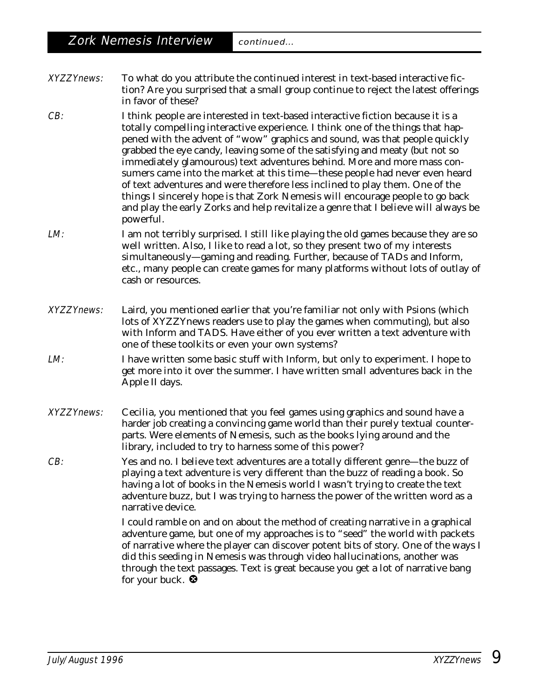XYZZYnews: To what do you attribute the continued interest in text-based interactive fiction? Are you surprised that a small group continue to reject the latest offerings in favor of these?

CB: I think people are interested in text-based interactive fiction because it is a totally compelling interactive experience. I think one of the things that happened with the advent of "wow" graphics and sound, was that people quickly grabbed the eye candy, leaving some of the satisfying and meaty (but not so immediately glamourous) text adventures behind. More and more mass consumers came into the market at this time—these people had never even heard of text adventures and were therefore less inclined to play them. One of the things I sincerely hope is that Zork Nemesis will encourage people to go back and play the early Zorks and help revitalize a genre that I believe will always be powerful.

- LM: I am not terribly surprised. I still like playing the old games because they are so well written. Also, I like to read a lot, so they present two of my interests simultaneously—gaming and reading. Further, because of TADs and Inform, etc., many people can create games for many platforms without lots of outlay of cash or resources.
- XYZZYnews: Laird, you mentioned earlier that you're familiar not only with Psions (which lots of *XYZZYnews* readers use to play the games when commuting), but also with Inform and TADS. Have either of you ever written a text adventure with one of these toolkits or even your own systems?
- LM: I have written some basic stuff with Inform, but only to experiment. I hope to get more into it over the summer. I have written small adventures back in the Apple II days.
- XYZZYnews: Cecilia, you mentioned that you feel games using graphics and sound have a harder job creating a convincing game world than their purely textual counterparts. Were elements of Nemesis, such as the books lying around and the library, included to try to harness some of this power?
- CB: Yes and no. I believe text adventures are a totally different genre—the buzz of playing a text adventure is very different than the buzz of reading a book. So having a lot of books in the Nemesis world I wasn't trying to create the text adventure buzz, but I was trying to harness the power of the written word as a narrative device.

I could ramble on and on about the method of creating narrative in a graphical adventure game, but one of my approaches is to "seed" the world with packets of narrative where the player can discover potent bits of story. One of the ways I did this seeding in Nemesis was through video hallucinations, another was through the text passages. Text is great because you get a lot of narrative bang for your buck.  $\bullet$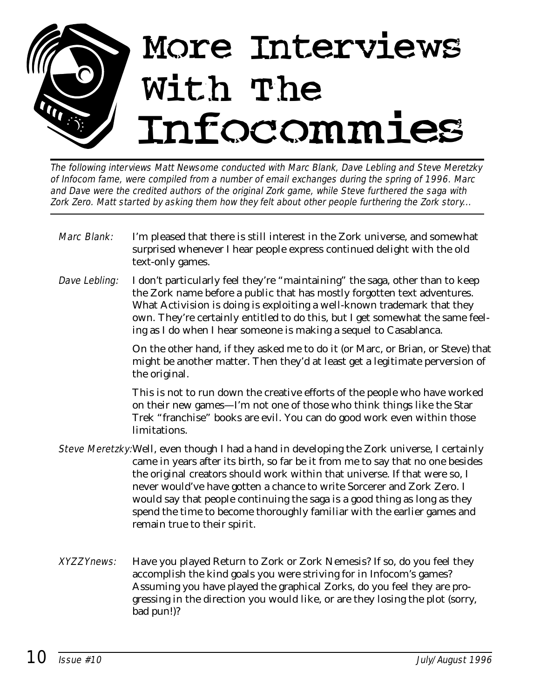

The following interviews Matt Newsome conducted with Marc Blank, Dave Lebling and Steve Meretzky of Infocom fame, were compiled from a number of email exchanges during the spring of 1996. Marc and Dave were the credited authors of the original Zork game, while Steve furthered the saga with Zork Zero. Matt started by asking them how they felt about other people furthering the Zork story...

- Marc Blank: I'm pleased that there is still interest in the Zork universe, and somewhat surprised whenever I hear people express continued delight with the old text-only games.
- Dave Lebling: I don't particularly feel they're "maintaining" the saga, other than to keep the Zork name before a public that has mostly forgotten text adventures. What Activision is doing is exploiting a well-known trademark that they own. They're certainly entitled to do this, but I get somewhat the same feeling as I do when I hear someone is making a sequel to Casablanca.

On the other hand, if they asked me to do it (or Marc, or Brian, or Steve) that might be another matter. Then they'd at least get a legitimate perversion of the original.

This is not to run down the creative efforts of the people who have worked on their new games—I'm not one of those who think things like the Star Trek "franchise" books are evil. You can do good work even within those limitations.

- Steve Meretzky:Well, even though I had a hand in developing the Zork universe, I certainly came in years after its birth, so far be it from me to say that no one besides the original creators should work within that universe. If that were so, I never would've have gotten a chance to write Sorcerer and Zork Zero. I would say that people continuing the saga is a good thing as long as they spend the time to become thoroughly familiar with the earlier games and remain true to their spirit.
- XYZZYnews: Have you played Return to Zork or Zork Nemesis? If so, do you feel they accomplish the kind goals you were striving for in Infocom's games? Assuming you have played the graphical Zorks, do you feel they are progressing in the direction you would like, or are they losing the plot (sorry, bad pun!)?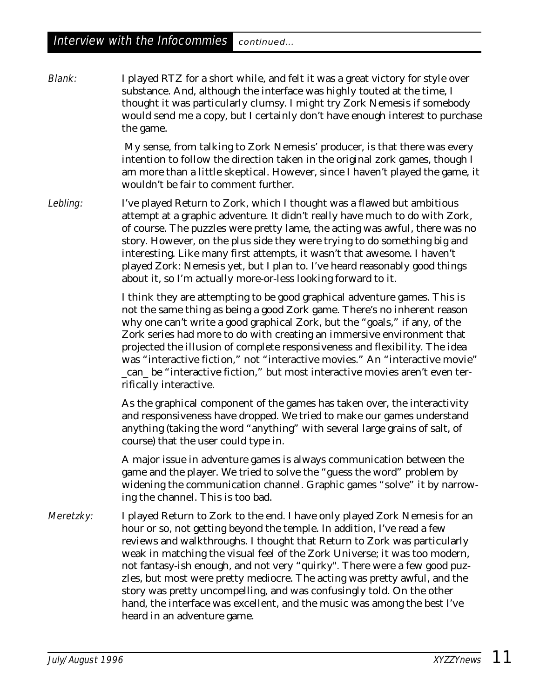Blank: I played RTZ for a short while, and felt it was a great victory for style over substance. And, although the interface was highly touted at the time, I thought it was particularly clumsy. I might try Zork Nemesis if somebody would send me a copy, but I certainly don't have enough interest to purchase the game.

> My sense, from talking to Zork Nemesis' producer, is that there was every intention to follow the direction taken in the original zork games, though I am more than a little skeptical. However, since I haven't played the game, it wouldn't be fair to comment further.

Lebling: I've played Return to Zork, which I thought was a flawed but ambitious attempt at a graphic adventure. It didn't really have much to do with Zork, of course. The puzzles were pretty lame, the acting was awful, there was no story. However, on the plus side they were trying to do something big and interesting. Like many first attempts, it wasn't that awesome. I haven't played Zork: Nemesis yet, but I plan to. I've heard reasonably good things about it, so I'm actually more-or-less looking forward to it.

> I think they are attempting to be good graphical adventure games. This is not the same thing as being a good Zork game. There's no inherent reason why one can't write a good graphical Zork, but the "goals," if any, of the Zork series had more to do with creating an immersive environment that projected the illusion of complete responsiveness and flexibility. The idea was "interactive fiction," not "interactive movies." An "interactive movie" \_can\_ be "interactive fiction," but most interactive movies aren't even terrifically interactive.

As the graphical component of the games has taken over, the interactivity and responsiveness have dropped. We tried to make our games understand anything (taking the word "anything" with several large grains of salt, of course) that the user could type in.

A major issue in adventure games is always communication between the game and the player. We tried to solve the "guess the word" problem by widening the communication channel. Graphic games "solve" it by narrowing the channel. This is too bad.

Meretzky: I played Return to Zork to the end. I have only played Zork Nemesis for an hour or so, not getting beyond the temple. In addition, I've read a few reviews and walkthroughs. I thought that Return to Zork was particularly weak in matching the visual feel of the Zork Universe; it was too modern, not fantasy-ish enough, and not very "quirky". There were a few good puzzles, but most were pretty mediocre. The acting was pretty awful, and the story was pretty uncompelling, and was confusingly told. On the other hand, the interface was excellent, and the music was among the best I've heard in an adventure game.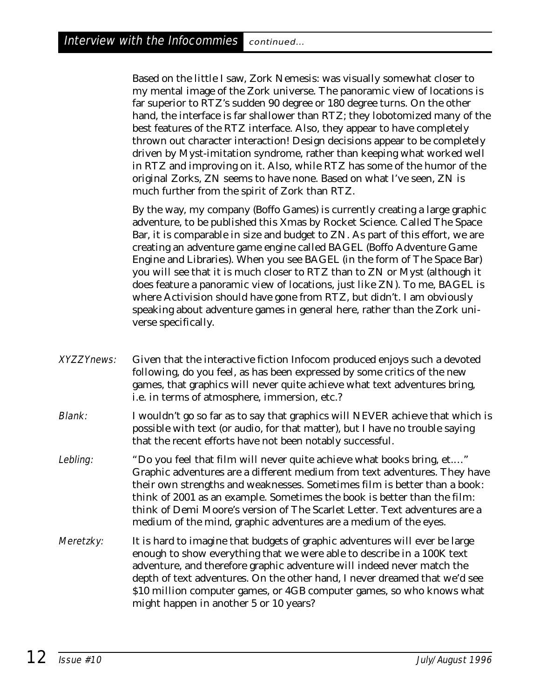Based on the little I saw, Zork Nemesis: was visually somewhat closer to my mental image of the Zork universe. The panoramic view of locations is far superior to RTZ's sudden 90 degree or 180 degree turns. On the other hand, the interface is far shallower than RTZ; they lobotomized many of the best features of the RTZ interface. Also, they appear to have completely thrown out character interaction! Design decisions appear to be completely driven by Myst-imitation syndrome, rather than keeping what worked well in RTZ and improving on it. Also, while RTZ has some of the humor of the original Zorks, ZN seems to have none. Based on what I've seen, ZN is much further from the spirit of Zork than RTZ.

By the way, my company (Boffo Games) is currently creating a large graphic adventure, to be published this Xmas by Rocket Science. Called The Space Bar, it is comparable in size and budget to ZN. As part of this effort, we are creating an adventure game engine called BAGEL (Boffo Adventure Game Engine and Libraries). When you see BAGEL (in the form of The Space Bar) you will see that it is much closer to RTZ than to ZN or Myst (although it does feature a panoramic view of locations, just like ZN). To me, BAGEL is where Activision should have gone from RTZ, but didn't. I am obviously speaking about adventure games in general here, rather than the Zork universe specifically.

- XYZZYnews: Given that the interactive fiction Infocom produced enjoys such a devoted following, do you feel, as has been expressed by some critics of the new games, that graphics will never quite achieve what text adventures bring, i.e. in terms of atmosphere, immersion, etc.?
- **Blank:** I wouldn't go so far as to say that graphics will NEVER achieve that which is possible with text (or audio, for that matter), but I have no trouble saying that the recent efforts have not been notably successful.
- Lebling: "Do you feel that film will never quite achieve what books bring, et...." Graphic adventures are a different medium from text adventures. They have their own strengths and weaknesses. Sometimes film is better than a book: think of 2001 as an example. Sometimes the book is better than the film: think of Demi Moore's version of The Scarlet Letter. Text adventures are a medium of the mind, graphic adventures are a medium of the eyes.
- Meretzky: It is hard to imagine that budgets of graphic adventures will ever be large enough to show everything that we were able to describe in a 100K text adventure, and therefore graphic adventure will indeed never match the depth of text adventures. On the other hand, I never dreamed that we'd see \$10 million computer games, or 4GB computer games, so who knows what might happen in another 5 or 10 years?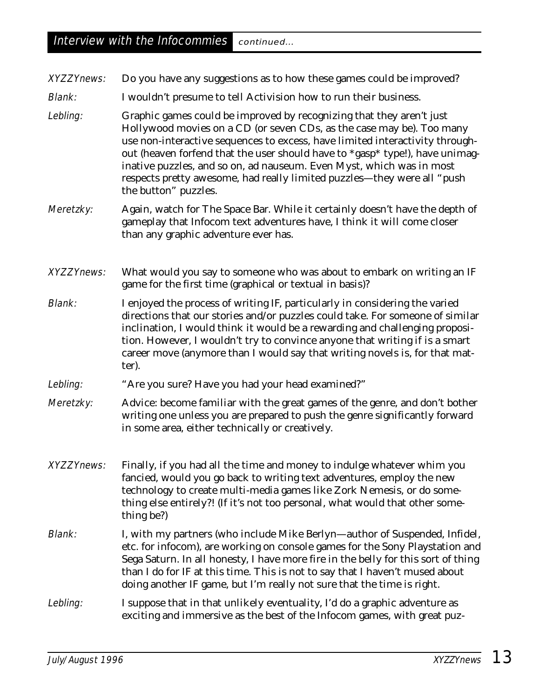| <b>XYZZYnews:</b> | Do you have any suggestions as to how these games could be improved?                                                                                                                                                                                                                                                                                                                                                                                                                     |  |  |  |
|-------------------|------------------------------------------------------------------------------------------------------------------------------------------------------------------------------------------------------------------------------------------------------------------------------------------------------------------------------------------------------------------------------------------------------------------------------------------------------------------------------------------|--|--|--|
| <b>Blank:</b>     | I wouldn't presume to tell Activision how to run their business.                                                                                                                                                                                                                                                                                                                                                                                                                         |  |  |  |
| Lebling:          | Graphic games could be improved by recognizing that they aren't just<br>Hollywood movies on a CD (or seven CDs, as the case may be). Too many<br>use non-interactive sequences to excess, have limited interactivity through-<br>out (heaven forfend that the user should have to *gasp* type!), have unimag-<br>inative puzzles, and so on, ad nauseum. Even Myst, which was in most<br>respects pretty awesome, had really limited puzzles-they were all "push<br>the button" puzzles. |  |  |  |
| Meretzky:         | Again, watch for The Space Bar. While it certainly doesn't have the depth of<br>gameplay that Infocom text adventures have, I think it will come closer<br>than any graphic adventure ever has.                                                                                                                                                                                                                                                                                          |  |  |  |
| <b>XYZZYnews:</b> | What would you say to someone who was about to embark on writing an IF<br>game for the first time (graphical or textual in basis)?                                                                                                                                                                                                                                                                                                                                                       |  |  |  |
| <b>Blank:</b>     | I enjoyed the process of writing IF, particularly in considering the varied<br>directions that our stories and/or puzzles could take. For someone of similar                                                                                                                                                                                                                                                                                                                             |  |  |  |

Interview with the Infocommies continued...

- **Blank**: I enjoyed the process of writing IF, particularly in considering the varied ne of similar inclination, I would think it would be a rewarding and challenging proposition. However, I wouldn't try to convince anyone that writing if is a smart career move (anymore than I would say that writing novels is, for that matter).
- Lebling: "Are you sure? Have you had your head examined?"
- Meretzky: Advice: become familiar with the great games of the genre, and don't bother writing one unless you are prepared to push the genre significantly forward in some area, either technically or creatively.
- XYZZYnews: Finally, if you had all the time and money to indulge whatever whim you fancied, would you go back to writing text adventures, employ the new technology to create multi-media games like Zork Nemesis, or do something else entirely?! (If it's not too personal, what would that other something be?)
- Blank: I, with my partners (who include Mike Berlyn—author of Suspended, Infidel, etc. for infocom), are working on console games for the Sony Playstation and Sega Saturn. In all honesty, I have more fire in the belly for this sort of thing than I do for IF at this time. This is not to say that I haven't mused about doing another IF game, but I'm really not sure that the time is right.

#### Lebling: I suppose that in that unlikely eventuality, I'd do a graphic adventure as exciting and immersive as the best of the Infocom games, with great puz-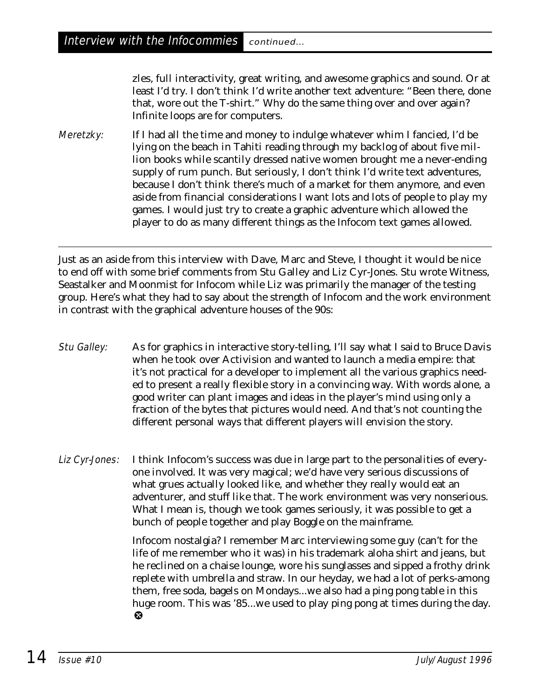zles, full interactivity, great writing, and awesome graphics and sound. Or at least I'd try. I don't *think* I'd write another text adventure: "Been there, done that, wore out the T-shirt." Why do the same thing over and over again? Infinite loops are for computers.

Meretzky: If I had all the time and money to indulge whatever whim I fancied, I'd be lying on the beach in Tahiti reading through my backlog of about five million books while scantily dressed native women brought me a never-ending supply of rum punch. But seriously, I don't think I'd write text adventures, because I don't think there's much of a market for them anymore, and even aside from financial considerations I want lots and lots of people to play my games. I would just try to create a graphic adventure which allowed the player to do as many different things as the Infocom text games allowed.

Just as an aside from this interview with Dave, Marc and Steve, I thought it would be nice to end off with some brief comments from Stu Galley and Liz Cyr-Jones. Stu wrote Witness, Seastalker and Moonmist for Infocom while Liz was primarily the manager of the testing group. Here's what they had to say about the strength of Infocom and the work environment in contrast with the graphical adventure houses of the 90s:

- Stu Galley: As for graphics in interactive story-telling, I'll say what I said to Bruce Davis when he took over Activision and wanted to launch a media empire: that it's not practical for a developer to implement all the various graphics needed to present a really flexible story in a convincing way. With words alone, a good writer can plant images and ideas in the player's mind using only a fraction of the bytes that pictures would need. And that's not counting the different personal ways that different players will envision the story.
- Liz Cyr-Jones: I think Infocom's success was due in large part to the personalities of everyone involved. It was *very* magical; we'd have very serious discussions of what grues actually looked like, and whether they really would eat an adventurer, and stuff like that. The work environment was very nonserious. What I mean is, though we took games seriously, it was possible to get a bunch of people together and play Boggle on the mainframe.

Infocom nostalgia? I remember Marc interviewing some guy (can't for the life of me remember who it was) in his trademark aloha shirt and jeans, but he reclined on a chaise lounge, wore his sunglasses and sipped a frothy drink replete with umbrella and straw. In our heyday, we had a lot of perks-among them, free soda, bagels on Mondays...we also had a ping pong table in this huge room. This was '85...we used to play ping pong at times during the day.  $\boldsymbol{\Omega}$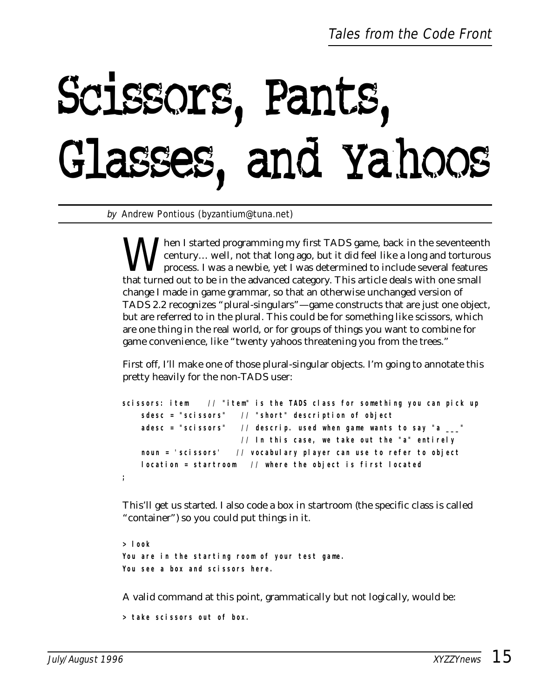# Scissors, Pants, Glasses, and Yahoos

by Andrew Pontious (byzantium@tuna.net)

When I started programming my first TADS game, back in the seventeenth<br>century... well, not that long ago, but it did feel like a long and torturous<br>process. I was a newbie, yet I was determined to include several features century… well, not that long ago, but it did feel like a long and torturous process. I was a newbie, yet I was determined to include several features that turned out to be in the advanced category. This article deals with one small change I made in game grammar, so that an otherwise unchanged version of TADS 2.2 recognizes "plural-singulars"—game constructs that are just one object, but are referred to in the plural. This could be for something like scissors, which are one thing in the real world, or for groups of things you want to combine for game convenience, like "twenty yahoos threatening you from the trees."

First off, I'll make one of those plural-singular objects. I'm going to annotate this pretty heavily for the non-TADS user:

```
scissors: item // "item" is the TADS class for something you can pick up
   sdesc = "scissors" // "short" description of object
   adesc = "scissors" // descrip. used when game wants to say "a ___" 
                       // In this case, we take out the "a" entirely
   noun = 'scissors' // vocabulary player can use to refer to object
   location = startroom // where the object is first located
;
```
This'll get us started. I also code a box in startroom (the specific class is called "container") so you could put things in it.

**> look You are in the starting room of your test game. You see a box and scissors here.**

A valid command at this point, grammatically but not logically, would be:

**> take scissors out of box.**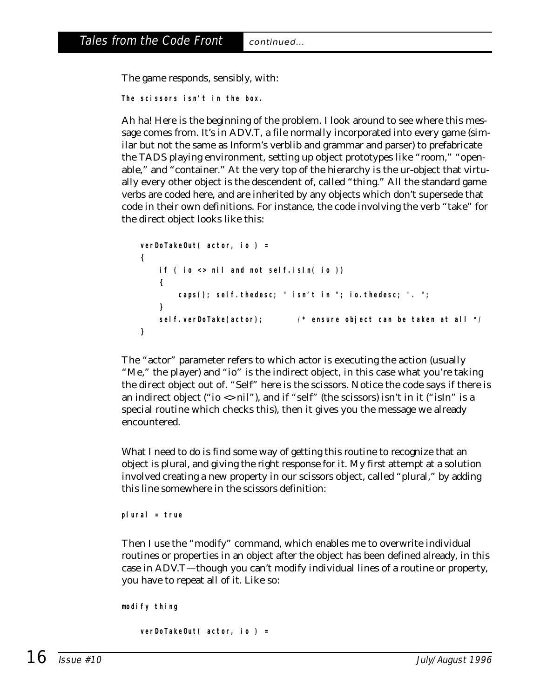The game responds, sensibly, with:

**The scissors isn't in the box.**

Ah ha! Here is the beginning of the problem. I look around to see where this message comes from. It's in ADV.T, a file normally incorporated into every game (similar but not the same as Inform's verblib and grammar and parser) to prefabricate the TADS playing environment, setting up object prototypes like "room," "openable," and "container." At the very top of the hierarchy is the ur-object that virtually every other object is the descendent of, called "thing." All the standard game verbs are coded here, and are inherited by any objects which don't supersede that code in their own definitions. For instance, the code involving the verb "take" for the direct object looks like this:

```
verDoTakeOut( actor, io ) =
{
   if ( io <> nil and not self.isIn( io ))
    {
        caps(); self.thedesc; " isn't in "; io.thedesc; ". ";
    }
    self.verDoTake(actor); /* ensure object can be taken at all */
}
```
The "actor" parameter refers to which actor is executing the action (usually "Me," the player) and "io" is the indirect object, in this case what you're taking the direct object out of. "Self" here is the scissors. Notice the code says if there is an indirect object ("io  $\langle$  > nil"), and if "self" (the scissors) isn't in it ("isIn" is a special routine which checks this), then it gives you the message we already encountered.

What I need to do is find some way of getting this routine to recognize that an object is plural, and giving the right response for it. My first attempt at a solution involved creating a new property in our scissors object, called "plural," by adding this line somewhere in the scissors definition:

**plural = true**

Then I use the "modify" command, which enables me to overwrite individual routines or properties in an object after the object has been defined already, in this case in ADV.T—though you can't modify individual lines of a routine or property, you have to repeat all of it. Like so:

```
modify thing
```

```
verDoTakeOut( actor, io ) =
```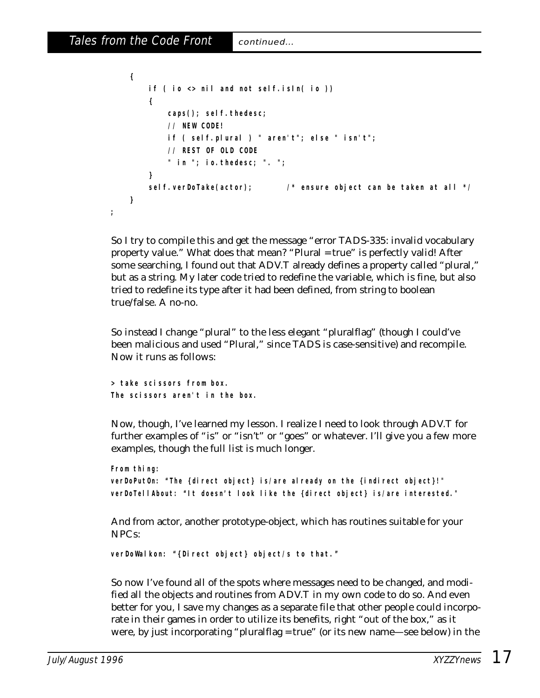```
{
        if ( io <> nil and not self.isIn( io ))
        {
            caps(); self.thedesc; 
            // NEW CODE!
            if ( self.plural ) " aren't"; else " isn't";
            // REST OF OLD CODE
            " in "; io.thedesc; ". ";
        }
        self.verDoTake(actor); /* ensure object can be taken at all */
   }
;
```
So I try to compile this and get the message "error TADS-335: invalid vocabulary property value." What does that mean? "Plural = true" is perfectly valid! After some searching, I found out that ADV.T already defines a property called "plural," but as a string. My later code tried to redefine the variable, which is fine, but also tried to redefine its type after it had been defined, from string to boolean true/false. A no-no.

So instead I change "plural" to the less elegant "pluralflag" (though I could've been malicious and used "Plural," since TADS is case-sensitive) and recompile. Now it runs as follows:

**> take scissors from box. The scissors aren't in the box.**

Now, though, I've learned my lesson. I realize I need to look through ADV.T for further examples of "is" or "isn't" or "goes" or whatever. I'll give you a few more examples, though the full list is much longer.

**From thing: verDoPutOn: "The {direct object} is/are already on the {indirect object}!" verDoTellAbout: "It doesn't look like the {direct object} is/are interested."**

And from actor, another prototype-object, which has routines suitable for your NPCs:

**verDoWalkon: "{Direct object} object/s to that."**

So now I've found all of the spots where messages need to be changed, and modified all the objects and routines from ADV.T in my own code to do so. And even better for you, I save my changes as a separate file that other people could incorporate in their games in order to utilize its benefits, right "out of the box," as it were, by just incorporating "pluralflag = true" (or its new name—see below) in the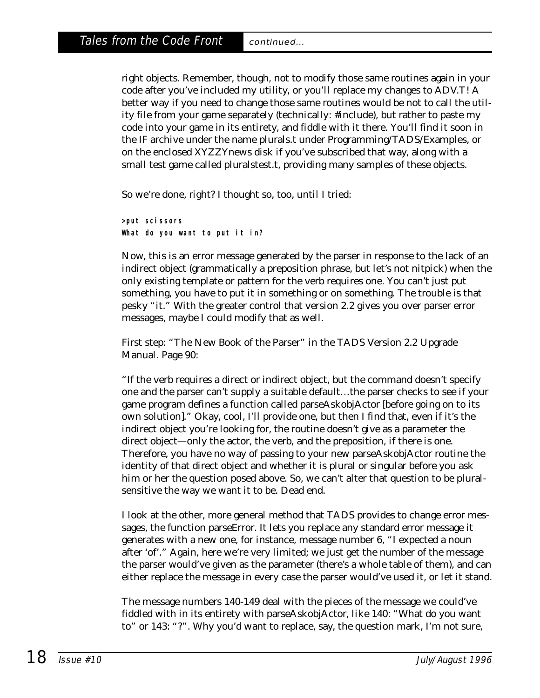right objects. Remember, though, not to modify those same routines again in your code after you've included my utility, or you'll replace my changes to ADV.T! A better way if you need to change those same routines would be not to call the utility file from your game separately (technically: #include), but rather to paste my code into your game in its entirety, and fiddle with it there. You'll find it soon in the IF archive under the name plurals.t under Programming/TADS/Examples, or on the enclosed *XYZZYnews* disk if you've subscribed that way, along with a small test game called pluralstest.t, providing many samples of these objects.

So we're done, right? I thought so, too, until I tried:

**>put scissors What do you want to put it in?**

Now, this is an error message generated by the parser in response to the lack of an indirect object (grammatically a preposition phrase, but let's not nitpick) when the only existing template or pattern for the verb requires one. You can't just put something, you have to put it in something or on something. The trouble is that pesky "it." With the greater control that version 2.2 gives you over parser error messages, maybe I could modify that as well.

First step: "The New Book of the Parser" in the TADS Version 2.2 Upgrade Manual. Page 90:

"If the verb requires a direct or indirect object, but the command doesn't specify one and the parser can't supply a suitable default…the parser checks to see if your game program defines a function called parseAskobjActor [before going on to its own solution]." Okay, cool, I'll provide one, but then I find that, even if it's the indirect object you're looking for, the routine doesn't give as a parameter the direct object—only the actor, the verb, and the preposition, if there is one. Therefore, you have no way of passing to your new parseAskobjActor routine the identity of that direct object and whether it is plural or singular before you ask him or her the question posed above. So, we can't alter that question to be pluralsensitive the way we want it to be. Dead end.

I look at the other, more general method that TADS provides to change error messages, the function parseError. It lets you replace any standard error message it generates with a new one, for instance, message number 6, "I expected a noun after 'of'." Again, here we're very limited; we just get the number of the message the parser would've given as the parameter (there's a whole table of them), and can either replace the message in every case the parser would've used it, or let it stand.

The message numbers 140-149 deal with the pieces of the message we could've fiddled with in its entirety with parseAskobjActor, like 140: "What do you want to" or 143: "?". Why you'd want to replace, say, the question mark, I'm not sure,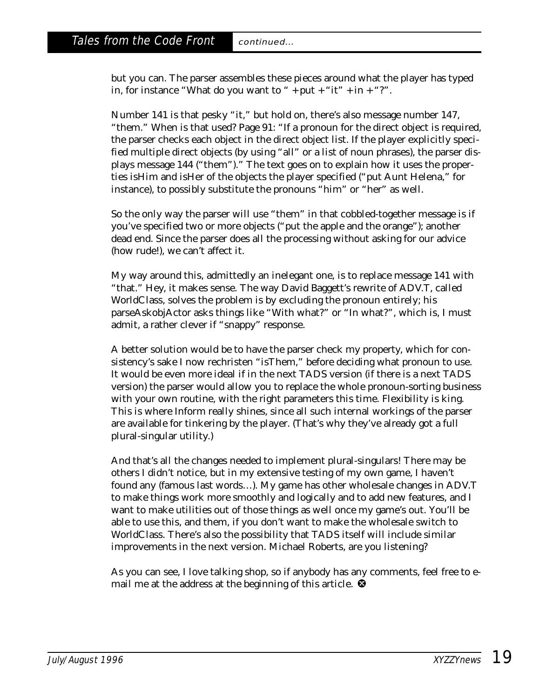but you can. The parser assembles these pieces around what the player has typed in, for instance "What do you want to " + put + "it" + in + "?".

Number 141 is that pesky "it," but hold on, there's also message number 147, "them." When is that used? Page 91: "If a pronoun for the direct object is required, the parser checks each object in the direct object list. If the player explicitly specified multiple direct objects (by using "all" or a list of noun phrases), the parser displays message 144 ("them")." The text goes on to explain how it uses the properties isHim and isHer of the objects the player specified ("put Aunt Helena," for instance), to possibly substitute the pronouns "him" or "her" as well.

So the only way the parser will use "them" in that cobbled-together message is if you've specified two or more objects ("put the apple and the orange"); another dead end. Since the parser does all the processing without asking for our advice (how rude!), we can't affect it.

My way around this, admittedly an inelegant one, is to replace message 141 with "that." Hey, it makes sense. The way David Baggett's rewrite of ADV.T, called WorldClass, solves the problem is by excluding the pronoun entirely; his parseAskobjActor asks things like "With what?" or "In what?", which is, I must admit, a rather clever if "snappy" response.

A better solution would be to have the parser check my property, which for consistency's sake I now rechristen "isThem," before deciding what pronoun to use. It would be even more ideal if in the next TADS version (if there is a next TADS version) the parser would allow you to replace the whole pronoun-sorting business with your own routine, with the right parameters this time. Flexibility is king. This is where Inform really shines, since all such internal workings of the parser are available for tinkering by the player. (That's why they've already got a full plural-singular utility.)

And that's all the changes needed to implement plural-singulars! There may be others I didn't notice, but in my extensive testing of my own game, I haven't found any (famous last words…). My game has other wholesale changes in ADV.T to make things work more smoothly and logically and to add new features, and I want to make utilities out of those things as well once my game's out. You'll be able to use this, and them, if you don't want to make the wholesale switch to WorldClass. There's also the possibility that TADS itself will include similar improvements in the next version. Michael Roberts, are you listening?

As you can see, I love talking shop, so if anybody has any comments, feel free to email me at the address at the beginning of this article.  $\bullet$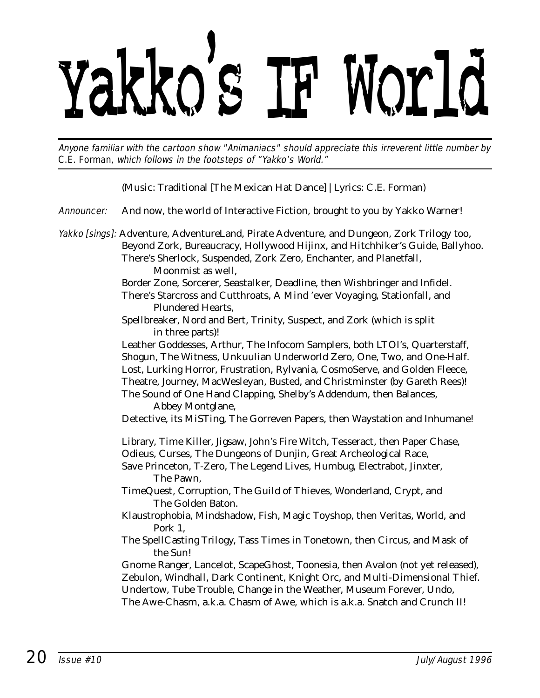# Yakko's IF World

Anyone familiar with the cartoon show "Animaniacs" should appreciate this irreverent little number by C.E. Forman, which follows in the footsteps of "Yakko's World."

|                   | (Music: Traditional [The Mexican Hat Dance]   Lyrics: C.E. Forman)                                                                                                                                                                                                                                                                                                                                                            |  |  |  |
|-------------------|-------------------------------------------------------------------------------------------------------------------------------------------------------------------------------------------------------------------------------------------------------------------------------------------------------------------------------------------------------------------------------------------------------------------------------|--|--|--|
| <b>Announcer:</b> | And now, the world of Interactive Fiction, brought to you by Yakko Warner!                                                                                                                                                                                                                                                                                                                                                    |  |  |  |
|                   | Yakko [sings]: Adventure, AdventureLand, Pirate Adventure, and Dungeon, Zork Trilogy too,<br>Beyond Zork, Bureaucracy, Hollywood Hijinx, and Hitchhiker's Guide, Ballyhoo.<br>There's Sherlock, Suspended, Zork Zero, Enchanter, and Planetfall,<br>Moonmist as well,                                                                                                                                                         |  |  |  |
|                   | Border Zone, Sorcerer, Seastalker, Deadline, then Wishbringer and Infidel.<br>There's Starcross and Cutthroats, A Mind 'ever Voyaging, Stationfall, and<br>Plundered Hearts,                                                                                                                                                                                                                                                  |  |  |  |
|                   | Spellbreaker, Nord and Bert, Trinity, Suspect, and Zork (which is split<br>in three parts)!                                                                                                                                                                                                                                                                                                                                   |  |  |  |
|                   | Leather Goddesses, Arthur, The Infocom Samplers, both LTOI's, Quarterstaff,<br>Shogun, The Witness, Unkuulian Underworld Zero, One, Two, and One-Half.<br>Lost, Lurking Horror, Frustration, Rylvania, CosmoServe, and Golden Fleece,<br>Theatre, Journey, MacWesleyan, Busted, and Christminster (by Gareth Rees)!<br>The Sound of One Hand Clapping, Shelby's Addendum, then Balances,<br>Abbey Montglane,                  |  |  |  |
|                   | Detective, its MiSTing, The Gorreven Papers, then Waystation and Inhumane!                                                                                                                                                                                                                                                                                                                                                    |  |  |  |
|                   | Library, Time Killer, Jigsaw, John's Fire Witch, Tesseract, then Paper Chase,<br>Odieus, Curses, The Dungeons of Dunjin, Great Archeological Race,<br>Save Princeton, T-Zero, The Legend Lives, Humbug, Electrabot, Jinxter,<br>The Pawn,<br>TimeQuest, Corruption, The Guild of Thieves, Wonderland, Crypt, and<br>The Golden Baton.<br>Klaustrophobia, Mindshadow, Fish, Magic Toyshop, then Veritas, World, and<br>Pork 1, |  |  |  |
|                   | The SpellCasting Trilogy, Tass Times in Tonetown, then Circus, and Mask of<br>the Sun!                                                                                                                                                                                                                                                                                                                                        |  |  |  |
|                   | Gnome Ranger, Lancelot, ScapeGhost, Toonesia, then Avalon (not yet released),<br>Zebulon, Windhall, Dark Continent, Knight Orc, and Multi-Dimensional Thief.<br>Undertow, Tube Trouble, Change in the Weather, Museum Forever, Undo,<br>The Awe-Chasm, a.k.a. Chasm of Awe, which is a.k.a. Snatch and Crunch II!                                                                                                             |  |  |  |
|                   |                                                                                                                                                                                                                                                                                                                                                                                                                               |  |  |  |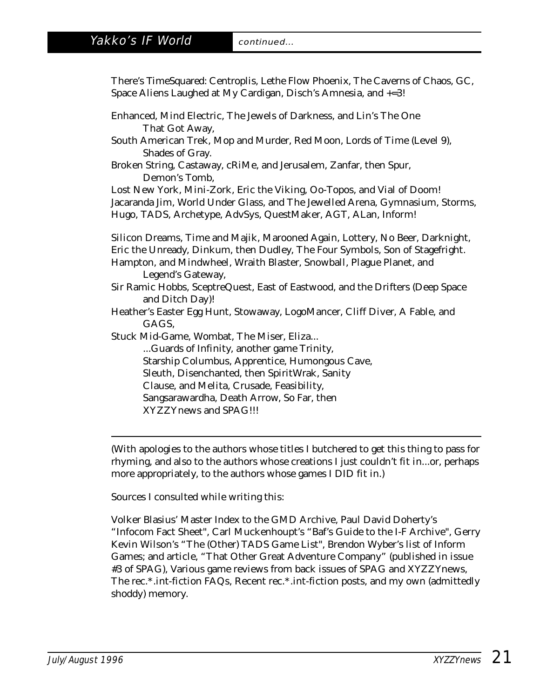There's TimeSquared: Centroplis, Lethe Flow Phoenix, The Caverns of Chaos, GC, Space Aliens Laughed at My Cardigan, Disch's Amnesia, and +=3! Enhanced, Mind Electric, The Jewels of Darkness, and Lin's The One That Got Away, South American Trek, Mop and Murder, Red Moon, Lords of Time (Level 9), Shades of Gray. Broken String, Castaway, cRiMe, and Jerusalem, Zanfar, then Spur, Demon's Tomb, Lost New York, Mini-Zork, Eric the Viking, Oo-Topos, and Vial of Doom! Jacaranda Jim, World Under Glass, and The Jewelled Arena, Gymnasium, Storms, Hugo, TADS, Archetype, AdvSys, QuestMaker, AGT, ALan, Inform! Silicon Dreams, Time and Majik, Marooned Again, Lottery, No Beer, Darknight, Eric the Unready, Dinkum, then Dudley, The Four Symbols, Son of Stagefright. Hampton, and Mindwheel, Wraith Blaster, Snowball, Plague Planet, and Legend's Gateway, Sir Ramic Hobbs, SceptreQuest, East of Eastwood, and the Drifters (Deep Space and Ditch Day)! Heather's Easter Egg Hunt, Stowaway, LogoMancer, Cliff Diver, A Fable, and GAGS, Stuck Mid-Game, Wombat, The Miser, Eliza... ...Guards of Infinity, another game Trinity, Starship Columbus, Apprentice, Humongous Cave, Sleuth, Disenchanted, then SpiritWrak, Sanity Clause, and Melita, Crusade, Feasibility, Sangsarawardha, Death Arrow, So Far, then XYZZYnews and SPAG!!!

(With apologies to the authors whose titles I butchered to get this thing to pass for rhyming, and also to the authors whose creations I just couldn't fit in...or, perhaps more appropriately, to the authors whose games I DID fit in.)

Sources I consulted while writing this:

Volker Blasius' Master Index to the GMD Archive, Paul David Doherty's "Infocom Fact Sheet", Carl Muckenhoupt's "Baf's Guide to the I-F Archive", Gerry Kevin Wilson's "The (Other) TADS Game List", Brendon Wyber's list of Inform Games; and article, "That Other Great Adventure Company" (published in issue #3 of SPAG), Various game reviews from back issues of *SPAG* and *XYZZYnews*, The rec.\*.int-fiction FAQs, Recent rec.\*.int-fiction posts, and my own (admittedly shoddy) memory.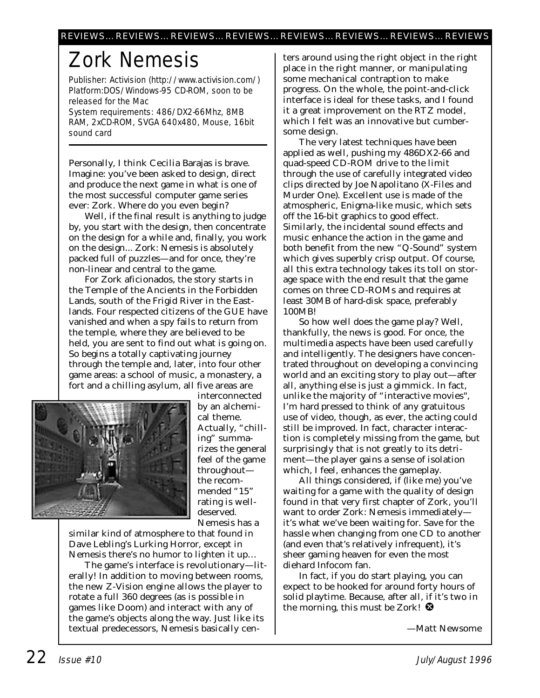# Zork Nemesis

Publisher: Activision (http://www.activision.com/) Platform:DOS/Windows-95 CD-ROM, soon to be released for the Mac

System requirements: 486/DX2-66Mhz, 8MB RAM, 2xCD-ROM, SVGA 640x480, Mouse, 16bit sound card

Personally, I think Cecilia Barajas is brave. Imagine: you've been asked to design, direct and produce the next game in what is one of the most successful computer game series ever: Zork. Where do you even begin?

Well, if the final result is anything to judge by, you start with the design, then concentrate on the design for a while and, finally, you work on the design... Zork: Nemesis is absolutely packed full of puzzles—and for once, they're non-linear and central to the game.

For Zork aficionados, the story starts in the Temple of the Ancients in the Forbidden Lands, south of the Frigid River in the Eastlands. Four respected citizens of the GUE have vanished and when a spy fails to return from the temple, where they are believed to be held, you are sent to find out what is going on. So begins a totally captivating journey through the temple and, later, into four other game areas: a school of music, a monastery, a fort and a chilling asylum, all five areas are



interconnected by an alchemical theme. Actually, "chilling" summarizes the general feel of the game throughout the recommended "15" rating is welldeserved. Nemesis has a

similar kind of atmosphere to that found in Dave Lebling's Lurking Horror, except in Nemesis there's no humor to lighten it up…

The game's interface is revolutionary—literally! In addition to moving between rooms, the new Z-Vision engine allows the player to rotate a full 360 degrees (as is possible in games like Doom) and interact with any of the game's objects along the way. Just like its textual predecessors, Nemesis basically centers around using the right object in the right place in the right manner, or manipulating some mechanical contraption to make progress. On the whole, the point-and-click interface is ideal for these tasks, and I found it a great improvement on the RTZ model, which I felt was an innovative but cumbersome design.

The very latest techniques have been applied as well, pushing my 486DX2-66 and quad-speed CD-ROM drive to the limit through the use of carefully integrated video clips directed by Joe Napolitano (X-Files and Murder One). Excellent use is made of the atmospheric, Enigma-like music, which sets off the 16-bit graphics to good effect. Similarly, the incidental sound effects and music enhance the action in the game and both benefit from the new "Q-Sound" system which gives superbly crisp output. Of course, all this extra technology takes its toll on storage space with the end result that the game comes on three CD-ROMs and requires at least 30MB of hard-disk space, preferably 100MB!

So how well does the game play? Well, thankfully, the news is good. For once, the multimedia aspects have been used carefully and intelligently. The designers have concentrated throughout on developing a convincing world and an exciting story to play out—after all, anything else is just a gimmick. In fact, unlike the majority of "interactive movies", I'm hard pressed to think of any gratuitous use of video, though, as ever, the acting could still be improved. In fact, character interaction is completely missing from the game, but surprisingly that is not greatly to its detriment—the player gains a sense of isolation which, I feel, enhances the gameplay.

All things considered, if (like me) you've waiting for a game with the quality of design found in that very first chapter of Zork, you'll want to order Zork: Nemesis immediately it's what we've been waiting for. Save for the hassle when changing from one CD to another (and even that's relatively infrequent), it's sheer gaming heaven for even the most diehard Infocom fan.

In fact, if you do start playing, you can expect to be hooked for around forty hours of solid playtime. Because, after all, if it's two in the morning, this must be Zork!  $\bullet$ 

*—Matt Newsome*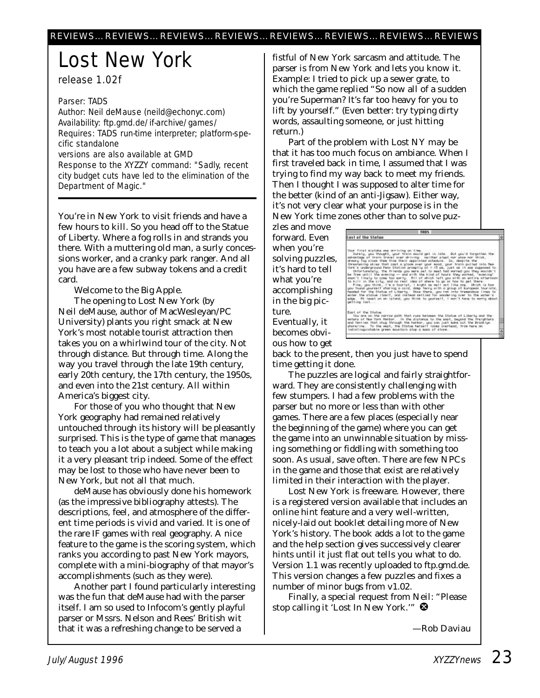## Lost New York

release 1.02f

Parser: TADS

Author: Neil deMause (neild@echonyc.com) Availability: ftp.gmd.de/if-archive/games/ Requires: TADS run-time interpreter; platform-specific standalone versions are also available at GMD Response to the XYZZY command: "Sadly, recent city budget cuts have led to the elimination of the Department of Magic."

You're in New York to visit friends and have a few hours to kill. So you head off to the Statue of Liberty. Where a fog rolls in and strands you there. With a muttering old man, a surly concessions worker, and a cranky park ranger. And all you have are a few subway tokens and a credit card.

Welcome to the Big Apple.

The opening to Lost New York (by Neil deMause, author of MacWesleyan/PC University) plants you right smack at New York's most notable tourist attraction then takes you on a whirlwind tour of the city. Not through distance. But through time. Along the way you travel through the late 19th century, early 20th century, the 17th century, the 1950s, and even into the 21st century. All within America's biggest city.

For those of you who thought that New York geography had remained relatively untouched through its history will be pleasantly surprised. This is the type of game that manages to teach you a lot about a subject while making it a very pleasant trip indeed. Some of the effect may be lost to those who have never been to New York, but not all that much.

deMause has obviously done his homework (as the impressive bibliography attests). The descriptions, feel, and atmosphere of the different time periods is vivid and varied. It is one of the rare IF games with real geography. A nice feature to the game is the scoring system, which ranks you according to past New York mayors, complete with a mini-biography of that mayor's accomplishments (such as they were).

Another part I found particularly interesting was the fun that deMause had with the parser itself. I am so used to Infocom's gently playful parser or Mssrs. Nelson and Rees' British wit that it was a refreshing change to be served a

fistful of New York sarcasm and attitude. The parser is from New York and lets you know it. Example: I tried to pick up a sewer grate, to which the game replied "So now all of a sudden you're Superman? It's far too heavy for you to lift by yourself." (Even better: try typing dirty words, assaulting someone, or just hitting return.)

Part of the problem with Lost NY may be that it has too much focus on ambiance. When I first traveled back in time, I assumed that I was trying to find my way back to meet my friends. Then I thought I was supposed to alter time for the better (kind of an anti-Jigsaw). Either way, it's not very clear what your purpose is in the New York time zones other than to solve puz-

zles and move forward. Even when you're solving puzzles, it's hard to tell what you're accomplishing in the big picture. Eventually, it becomes obvi-

ous how to get

ast of the Statue

teks em erriving on time.<br>Thought, your train would The listens was serious pairs of the size of the size of the size of the size of the size of the size of the size of the size of the size of the size of the size of the size of the size of the size of the size of the size  $^{100}_{15}$ nation prosping at to<br>ends you serve set to<br>-- and with the kin<br>- anrly. fill of which<br>no real idea of when

back to the present, then you just have to spend time getting it done.

The puzzles are logical and fairly straightforward. They are consistently challenging with few stumpers. I had a few problems with the parser but no more or less than with other games. There are a few places (especially near the beginning of the game) where you can get the game into an unwinnable situation by missing something or fiddling with something too soon. As usual, save often. There are few NPCs in the game and those that exist are relatively limited in their interaction with the player.

Lost New York is freeware. However, there is a registered version available that includes an online hint feature and a very well-written, nicely-laid out booklet detailing more of New York's history. The book adds a lot to the game and the help section gives successively clearer hints until it just flat out tells you what to do. Version 1.1 was recently uploaded to ftp.gmd.de. This version changes a few puzzles and fixes a number of minor bugs from v1.02.

Finally, a special request from Neil: "Please stop calling it 'Lost In New York.'"

*—Rob Daviau*